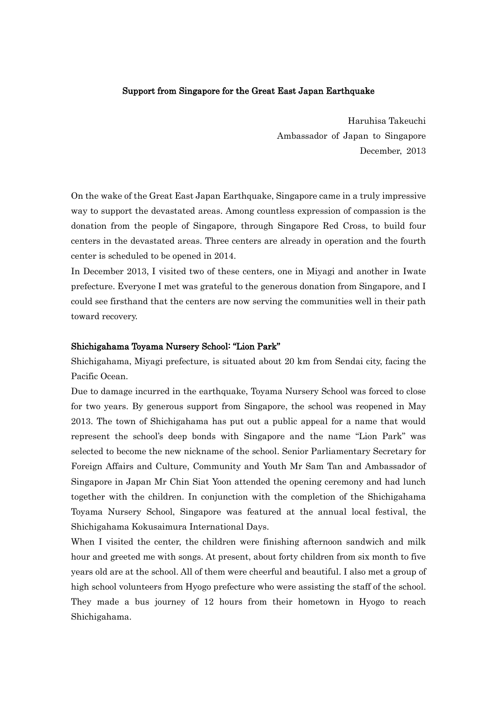## Support from Singapore for the Great East Japan Earthquake

Haruhisa Takeuchi Ambassador of Japan to Singapore December, 2013

On the wake of the Great East Japan Earthquake, Singapore came in a truly impressive way to support the devastated areas. Among countless expression of compassion is the donation from the people of Singapore, through Singapore Red Cross, to build four centers in the devastated areas. Three centers are already in operation and the fourth center is scheduled to be opened in 2014.

In December 2013, I visited two of these centers, one in Miyagi and another in Iwate prefecture. Everyone I met was grateful to the generous donation from Singapore, and I could see firsthand that the centers are now serving the communities well in their path toward recovery.

## Shichigahama Toyama Nursery School: "Lion Park"

Shichigahama, Miyagi prefecture, is situated about 20 km from Sendai city, facing the Pacific Ocean.

Due to damage incurred in the earthquake, Toyama Nursery School was forced to close for two years. By generous support from Singapore, the school was reopened in May 2013. The town of Shichigahama has put out a public appeal for a name that would represent the school's deep bonds with Singapore and the name "Lion Park" was selected to become the new nickname of the school. Senior Parliamentary Secretary for Foreign Affairs and Culture, Community and Youth Mr Sam Tan and Ambassador of Singapore in Japan Mr Chin Siat Yoon attended the opening ceremony and had lunch together with the children. In conjunction with the completion of the Shichigahama Toyama Nursery School, Singapore was featured at the annual local festival, the Shichigahama Kokusaimura International Days.

When I visited the center, the children were finishing afternoon sandwich and milk hour and greeted me with songs. At present, about forty children from six month to five years old are at the school. All of them were cheerful and beautiful. I also met a group of high school volunteers from Hyogo prefecture who were assisting the staff of the school. They made a bus journey of 12 hours from their hometown in Hyogo to reach Shichigahama.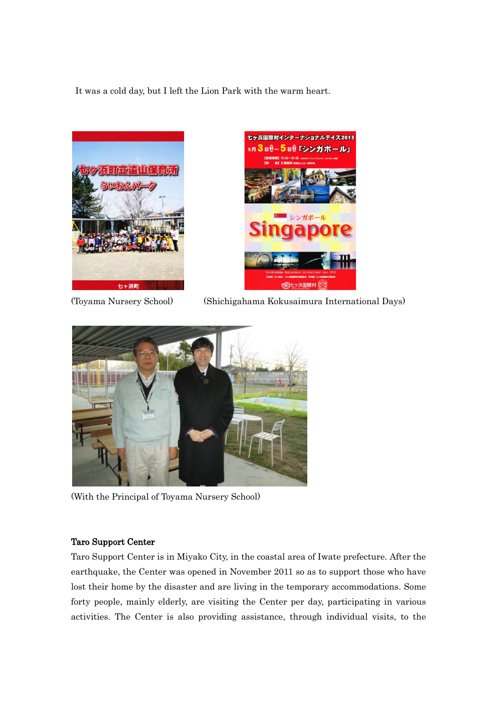It was a cold day, but I left the Lion Park with the warm heart.





(Toyama Nursery School) (Shichigahama Kokusaimura International Days)



(With the Principal of Toyama Nursery School)

## Taro Support Center

Taro Support Center is in Miyako City, in the coastal area of Iwate prefecture. After the earthquake, the Center was opened in November 2011 so as to support those who have lost their home by the disaster and are living in the temporary accommodations. Some forty people, mainly elderly, are visiting the Center per day, participating in various activities. The Center is also providing assistance, through individual visits, to the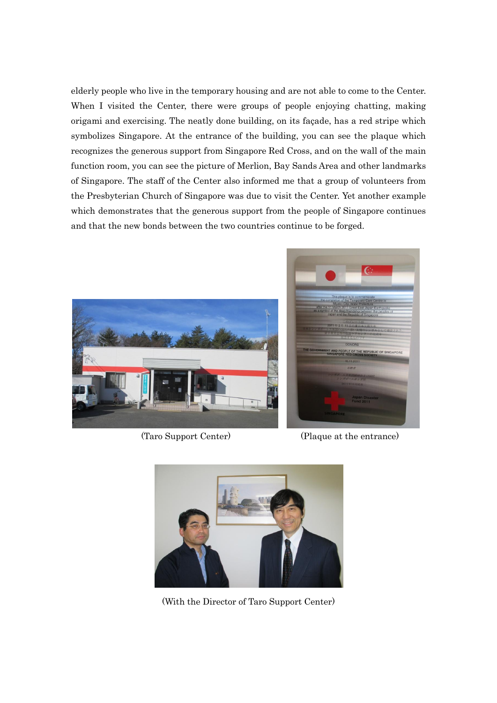elderly people who live in the temporary housing and are not able to come to the Center. When I visited the Center, there were groups of people enjoying chatting, making origami and exercising. The neatly done building, on its façade, has a red stripe which symbolizes Singapore. At the entrance of the building, you can see the plaque which recognizes the generous support from Singapore Red Cross, and on the wall of the main function room, you can see the picture of Merlion, Bay Sands Area and other landmarks of Singapore. The staff of the Center also informed me that a group of volunteers from the Presbyterian Church of Singapore was due to visit the Center. Yet another example which demonstrates that the generous support from the people of Singapore continues and that the new bonds between the two countries continue to be forged.





(Taro Support Center) (Plaque at the entrance)



(With the Director of Taro Support Center)